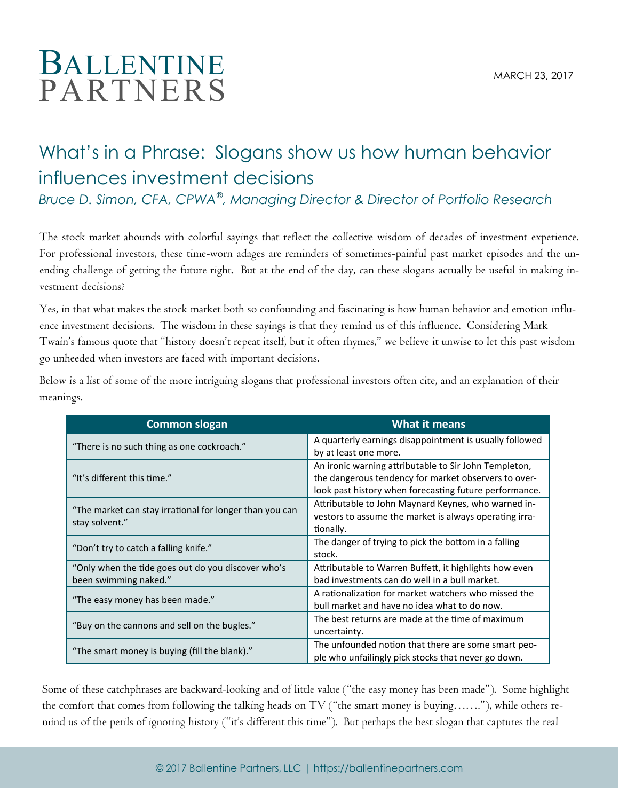## BALLENTINE MARCH 23 2017 PARTNERS

## What's in a Phrase: Slogans show us how human behavior influences investment decisions

*Bruce D. Simon, CFA, CPWA*® *, Managing Director & Director of Portfolio Research*

The stock market abounds with colorful sayings that reflect the collective wisdom of decades of investment experience. For professional investors, these time-worn adages are reminders of sometimes-painful past market episodes and the unending challenge of getting the future right. But at the end of the day, can these slogans actually be useful in making investment decisions?

Yes, in that what makes the stock market both so confounding and fascinating is how human behavior and emotion influence investment decisions. The wisdom in these sayings is that they remind us of this influence. Considering Mark Twain's famous quote that "history doesn't repeat itself, but it often rhymes," we believe it unwise to let this past wisdom go unheeded when investors are faced with important decisions.

Below is a list of some of the more intriguing slogans that professional investors often cite, and an explanation of their meanings.

| <b>Common slogan</b>                                                        | <b>What it means</b>                                                                                                                                                    |
|-----------------------------------------------------------------------------|-------------------------------------------------------------------------------------------------------------------------------------------------------------------------|
| "There is no such thing as one cockroach."                                  | A quarterly earnings disappointment is usually followed<br>by at least one more.                                                                                        |
| "It's different this time."                                                 | An ironic warning attributable to Sir John Templeton,<br>the dangerous tendency for market observers to over-<br>look past history when forecasting future performance. |
| "The market can stay irrational for longer than you can<br>stay solvent."   | Attributable to John Maynard Keynes, who warned in-<br>vestors to assume the market is always operating irra-<br>tionally.                                              |
| "Don't try to catch a falling knife."                                       | The danger of trying to pick the bottom in a falling<br>stock.                                                                                                          |
| "Only when the tide goes out do you discover who's<br>been swimming naked." | Attributable to Warren Buffett, it highlights how even<br>bad investments can do well in a bull market.                                                                 |
| "The easy money has been made."                                             | A rationalization for market watchers who missed the<br>bull market and have no idea what to do now.                                                                    |
| "Buy on the cannons and sell on the bugles."                                | The best returns are made at the time of maximum<br>uncertainty.                                                                                                        |
| "The smart money is buying (fill the blank)."                               | The unfounded notion that there are some smart peo-<br>ple who unfailingly pick stocks that never go down.                                                              |

Some of these catchphrases are backward-looking and of little value ("the easy money has been made"). Some highlight the comfort that comes from following the talking heads on TV ("the smart money is buying……."), while others remind us of the perils of ignoring history ("it's different this time"). But perhaps the best slogan that captures the real